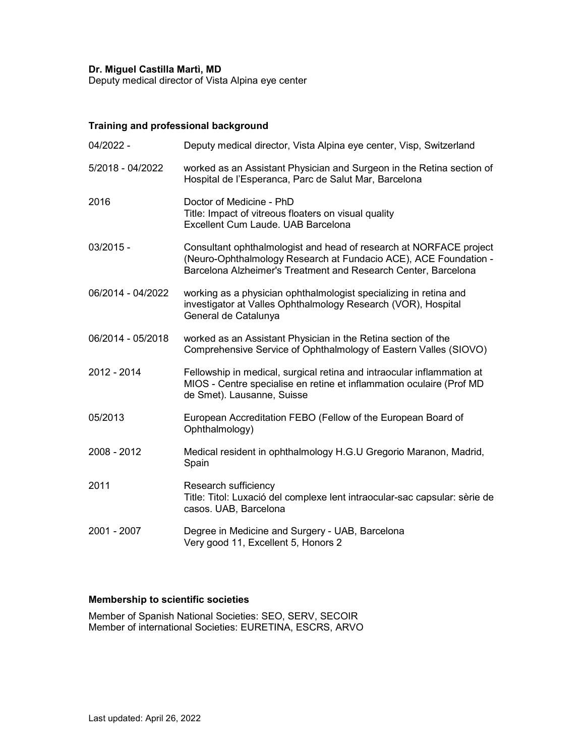#### Dr. Miguel Castilla Martì, MD

Deputy medical director of Vista Alpina eye center

### Training and professional background

| 04/2022 -         | Deputy medical director, Vista Alpina eye center, Visp, Switzerland                                                                                                                                      |
|-------------------|----------------------------------------------------------------------------------------------------------------------------------------------------------------------------------------------------------|
| 5/2018 - 04/2022  | worked as an Assistant Physician and Surgeon in the Retina section of<br>Hospital de l'Esperanca, Parc de Salut Mar, Barcelona                                                                           |
| 2016              | Doctor of Medicine - PhD<br>Title: Impact of vitreous floaters on visual quality<br>Excellent Cum Laude. UAB Barcelona                                                                                   |
| $03/2015 -$       | Consultant ophthalmologist and head of research at NORFACE project<br>(Neuro-Ophthalmology Research at Fundacio ACE), ACE Foundation -<br>Barcelona Alzheimer's Treatment and Research Center, Barcelona |
| 06/2014 - 04/2022 | working as a physician ophthalmologist specializing in retina and<br>investigator at Valles Ophthalmology Research (VOR), Hospital<br>General de Catalunya                                               |
| 06/2014 - 05/2018 | worked as an Assistant Physician in the Retina section of the<br>Comprehensive Service of Ophthalmology of Eastern Valles (SIOVO)                                                                        |
| 2012 - 2014       | Fellowship in medical, surgical retina and intraocular inflammation at<br>MIOS - Centre specialise en retine et inflammation oculaire (Prof MD<br>de Smet). Lausanne, Suisse                             |
| 05/2013           | European Accreditation FEBO (Fellow of the European Board of<br>Ophthalmology)                                                                                                                           |
| 2008 - 2012       | Medical resident in ophthalmology H.G.U Gregorio Maranon, Madrid,<br>Spain                                                                                                                               |
| 2011              | Research sufficiency<br>Title: Titol: Luxació del complexe lent intraocular-sac capsular: sèrie de<br>casos. UAB, Barcelona                                                                              |
| 2001 - 2007       | Degree in Medicine and Surgery - UAB, Barcelona<br>Very good 11, Excellent 5, Honors 2                                                                                                                   |

## Membership to scientific societies

Member of Spanish National Societies: SEO, SERV, SECOIR Member of international Societies: EURETINA, ESCRS, ARVO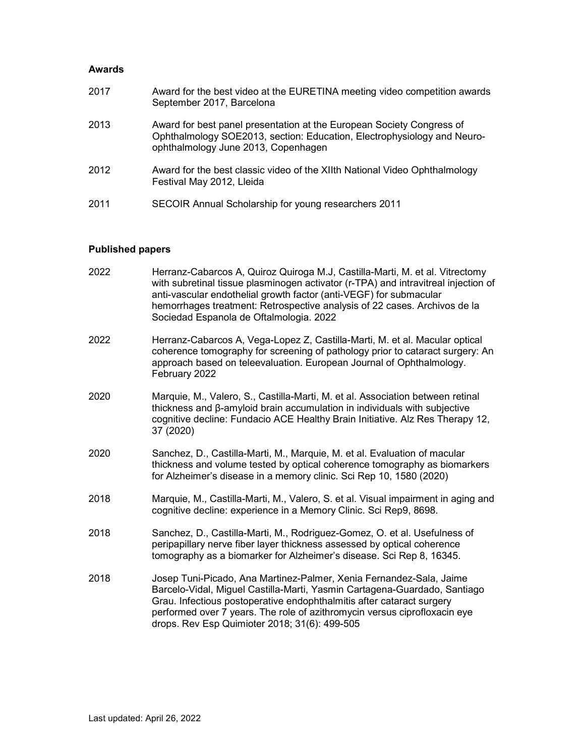#### Awards

| 2017 | Award for the best video at the EURETINA meeting video competition awards<br>September 2017, Barcelona                                                                                  |
|------|-----------------------------------------------------------------------------------------------------------------------------------------------------------------------------------------|
| 2013 | Award for best panel presentation at the European Society Congress of<br>Ophthalmology SOE2013, section: Education, Electrophysiology and Neuro-<br>ophthalmology June 2013, Copenhagen |
| 2012 | Award for the best classic video of the XIIth National Video Ophthalmology<br>Festival May 2012, Lleida                                                                                 |
| 2011 | SECOIR Annual Scholarship for young researchers 2011                                                                                                                                    |

# Published papers

| 2022 | Herranz-Cabarcos A, Quiroz Quiroga M.J, Castilla-Marti, M. et al. Vitrectomy<br>with subretinal tissue plasminogen activator (r-TPA) and intravitreal injection of<br>anti-vascular endothelial growth factor (anti-VEGF) for submacular<br>hemorrhages treatment: Retrospective analysis of 22 cases. Archivos de la<br>Sociedad Espanola de Oftalmologia. 2022 |
|------|------------------------------------------------------------------------------------------------------------------------------------------------------------------------------------------------------------------------------------------------------------------------------------------------------------------------------------------------------------------|
| 2022 | Herranz-Cabarcos A, Vega-Lopez Z, Castilla-Marti, M. et al. Macular optical<br>coherence tomography for screening of pathology prior to cataract surgery: An<br>approach based on teleevaluation. European Journal of Ophthalmology.<br>February 2022                                                                                                            |
| 2020 | Marquie, M., Valero, S., Castilla-Marti, M. et al. Association between retinal<br>thickness and $\beta$ -amyloid brain accumulation in individuals with subjective<br>cognitive decline: Fundacio ACE Healthy Brain Initiative. Alz Res Therapy 12,<br>37 (2020)                                                                                                 |
| 2020 | Sanchez, D., Castilla-Marti, M., Marquie, M. et al. Evaluation of macular<br>thickness and volume tested by optical coherence tomography as biomarkers<br>for Alzheimer's disease in a memory clinic. Sci Rep 10, 1580 (2020)                                                                                                                                    |
| 2018 | Marquie, M., Castilla-Marti, M., Valero, S. et al. Visual impairment in aging and<br>cognitive decline: experience in a Memory Clinic. Sci Rep9, 8698.                                                                                                                                                                                                           |
| 2018 | Sanchez, D., Castilla-Marti, M., Rodriguez-Gomez, O. et al. Usefulness of<br>peripapillary nerve fiber layer thickness assessed by optical coherence<br>tomography as a biomarker for Alzheimer's disease. Sci Rep 8, 16345.                                                                                                                                     |
| 2018 | Josep Tuni-Picado, Ana Martinez-Palmer, Xenia Fernandez-Sala, Jaime<br>Barcelo-Vidal, Miguel Castilla-Marti, Yasmin Cartagena-Guardado, Santiago<br>Grau. Infectious postoperative endophthalmitis after cataract surgery<br>performed over 7 years. The role of azithromycin versus ciprofloxacin eye<br>drops. Rev Esp Quimioter 2018; 31(6): 499-505          |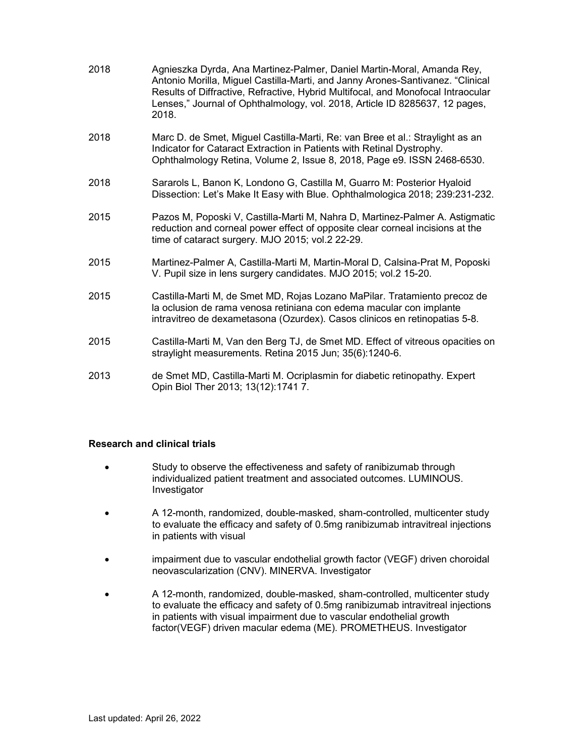| 2018 | Agnieszka Dyrda, Ana Martinez-Palmer, Daniel Martin-Moral, Amanda Rey,<br>Antonio Morilla, Miguel Castilla-Marti, and Janny Arones-Santivanez. "Clinical<br>Results of Diffractive, Refractive, Hybrid Multifocal, and Monofocal Intraocular<br>Lenses," Journal of Ophthalmology, vol. 2018, Article ID 8285637, 12 pages,<br>2018. |
|------|--------------------------------------------------------------------------------------------------------------------------------------------------------------------------------------------------------------------------------------------------------------------------------------------------------------------------------------|
| 2018 | Marc D. de Smet, Miguel Castilla-Marti, Re: van Bree et al.: Straylight as an<br>Indicator for Cataract Extraction in Patients with Retinal Dystrophy.<br>Ophthalmology Retina, Volume 2, Issue 8, 2018, Page e9. ISSN 2468-6530.                                                                                                    |
| 2018 | Sararols L, Banon K, Londono G, Castilla M, Guarro M: Posterior Hyaloid<br>Dissection: Let's Make It Easy with Blue. Ophthalmologica 2018; 239:231-232.                                                                                                                                                                              |
| 2015 | Pazos M, Poposki V, Castilla-Marti M, Nahra D, Martinez-Palmer A. Astigmatic<br>reduction and corneal power effect of opposite clear corneal incisions at the<br>time of cataract surgery. MJO 2015; vol.2 22-29.                                                                                                                    |
| 2015 | Martinez-Palmer A, Castilla-Marti M, Martin-Moral D, Calsina-Prat M, Poposki<br>V. Pupil size in lens surgery candidates. MJO 2015; vol.2 15-20.                                                                                                                                                                                     |
| 2015 | Castilla-Marti M, de Smet MD, Rojas Lozano MaPilar. Tratamiento precoz de<br>la oclusion de rama venosa retiniana con edema macular con implante<br>intravitreo de dexametasona (Ozurdex). Casos clinicos en retinopatias 5-8.                                                                                                       |
| 2015 | Castilla-Marti M, Van den Berg TJ, de Smet MD. Effect of vitreous opacities on<br>straylight measurements. Retina 2015 Jun; 35(6):1240-6.                                                                                                                                                                                            |

2013 de Smet MD, Castilla-Marti M. Ocriplasmin for diabetic retinopathy. Expert Opin Biol Ther 2013; 13(12):1741 7.

#### Research and clinical trials

- Study to observe the effectiveness and safety of ranibizumab through individualized patient treatment and associated outcomes. LUMINOUS. Investigator
- A 12-month, randomized, double-masked, sham-controlled, multicenter study to evaluate the efficacy and safety of 0.5mg ranibizumab intravitreal injections in patients with visual
- impairment due to vascular endothelial growth factor (VEGF) driven choroidal neovascularization (CNV). MINERVA. Investigator
- A 12-month, randomized, double-masked, sham-controlled, multicenter study to evaluate the efficacy and safety of 0.5mg ranibizumab intravitreal injections in patients with visual impairment due to vascular endothelial growth factor(VEGF) driven macular edema (ME). PROMETHEUS. Investigator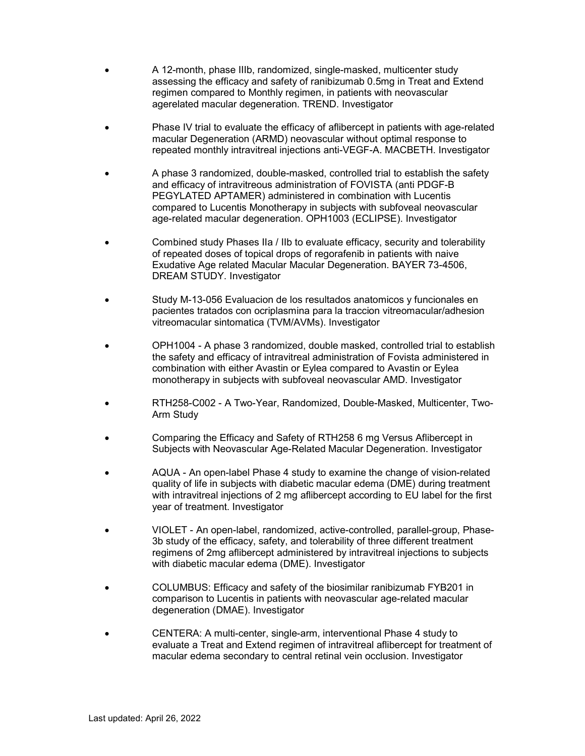- A 12-month, phase IIIb, randomized, single-masked, multicenter study assessing the efficacy and safety of ranibizumab 0.5mg in Treat and Extend regimen compared to Monthly regimen, in patients with neovascular agerelated macular degeneration. TREND. Investigator
- Phase IV trial to evaluate the efficacy of aflibercept in patients with age-related macular Degeneration (ARMD) neovascular without optimal response to repeated monthly intravitreal injections anti-VEGF-A. MACBETH. Investigator
- A phase 3 randomized, double-masked, controlled trial to establish the safety and efficacy of intravitreous administration of FOVISTA (anti PDGF-B PEGYLATED APTAMER) administered in combination with Lucentis compared to Lucentis Monotherapy in subjects with subfoveal neovascular age-related macular degeneration. OPH1003 (ECLIPSE). Investigator
- Combined study Phases IIa / IIb to evaluate efficacy, security and tolerability of repeated doses of topical drops of regorafenib in patients with naive Exudative Age related Macular Macular Degeneration. BAYER 73-4506, DREAM STUDY. Investigator
- Study M-13-056 Evaluacion de los resultados anatomicos y funcionales en pacientes tratados con ocriplasmina para la traccion vitreomacular/adhesion vitreomacular sintomatica (TVM/AVMs). Investigator
- OPH1004 A phase 3 randomized, double masked, controlled trial to establish the safety and efficacy of intravitreal administration of Fovista administered in combination with either Avastin or Eylea compared to Avastin or Eylea monotherapy in subjects with subfoveal neovascular AMD. Investigator
- RTH258-C002 A Two-Year, Randomized, Double-Masked, Multicenter, Two-Arm Study
- Comparing the Efficacy and Safety of RTH258 6 mg Versus Aflibercept in Subjects with Neovascular Age-Related Macular Degeneration. Investigator
- AQUA An open-label Phase 4 study to examine the change of vision-related quality of life in subjects with diabetic macular edema (DME) during treatment with intravitreal injections of 2 mg aflibercept according to EU label for the first year of treatment. Investigator
- VIOLET An open-label, randomized, active-controlled, parallel-group, Phase-3b study of the efficacy, safety, and tolerability of three different treatment regimens of 2mg aflibercept administered by intravitreal injections to subjects with diabetic macular edema (DME). Investigator
- COLUMBUS: Efficacy and safety of the biosimilar ranibizumab FYB201 in comparison to Lucentis in patients with neovascular age-related macular degeneration (DMAE). Investigator
- CENTERA: A multi-center, single-arm, interventional Phase 4 study to evaluate a Treat and Extend regimen of intravitreal aflibercept for treatment of macular edema secondary to central retinal vein occlusion. Investigator